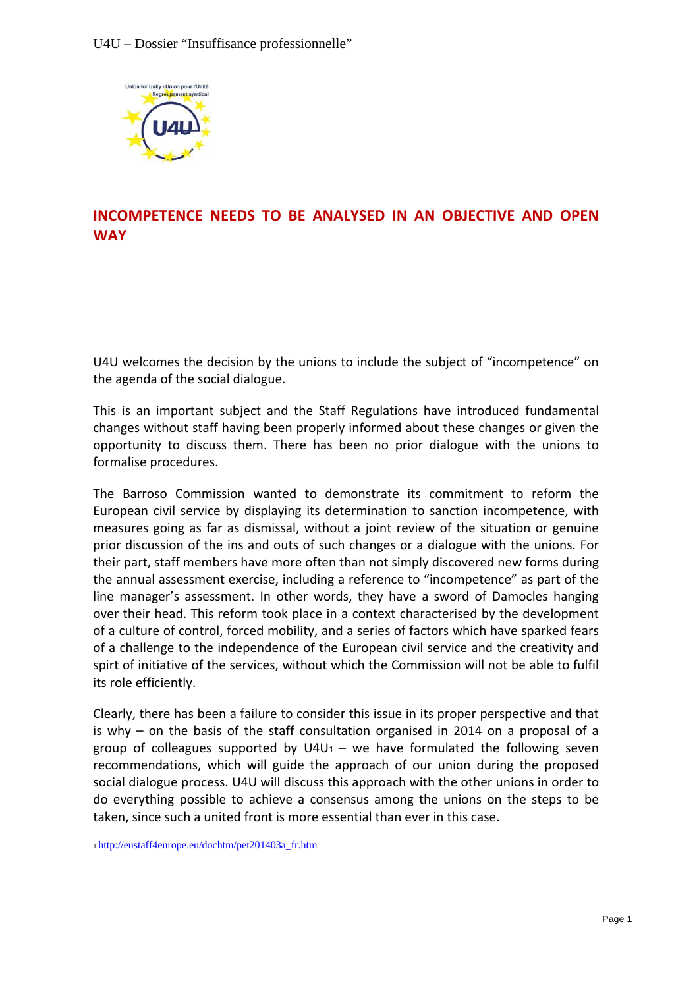

# **INCOMPETENCE NEEDS TO BE ANALYSED IN AN OBJECTIVE AND OPEN WAY**

U4U welcomes the decision by the unions to include the subject of "incompetence" on the agenda of the social dialogue.

This is an important subject and the Staff Regulations have introduced fundamental changes without staff having been properly informed about these changes or given the opportunity to discuss them. There has been no prior dialogue with the unions to formalise procedures.

The Barroso Commission wanted to demonstrate its commitment to reform the European civil service by displaying its determination to sanction incompetence, with measures going as far as dismissal, without a joint review of the situation or genuine prior discussion of the ins and outs of such changes or a dialogue with the unions. For their part, staff members have more often than not simply discovered new forms during the annual assessment exercise, including a reference to "incompetence" as part of the line manager's assessment. In other words, they have a sword of Damocles hanging over their head. This reform took place in a context characterised by the development of a culture of control, forced mobility, and a series of factors which have sparked fears of a challenge to the independence of the European civil service and the creativity and spirt of initiative of the services, without which the Commission will not be able to fulfil its role efficiently.

Clearly, there has been a failure to consider this issue in its proper perspective and that is why – on the basis of the staff consultation organised in 2014 on a proposal of a group of colleagues supported by  $U4U_1$  – we have formulated the following seven recommendations, which will guide the approach of our union during the proposed social dialogue process. U4U will discuss this approach with the other unions in order to do everything possible to achieve a consensus among the unions on the steps to be taken, since such a united front is more essential than ever in this case.

1 http://eustaff4europe.eu/dochtm/pet201403a\_fr.htm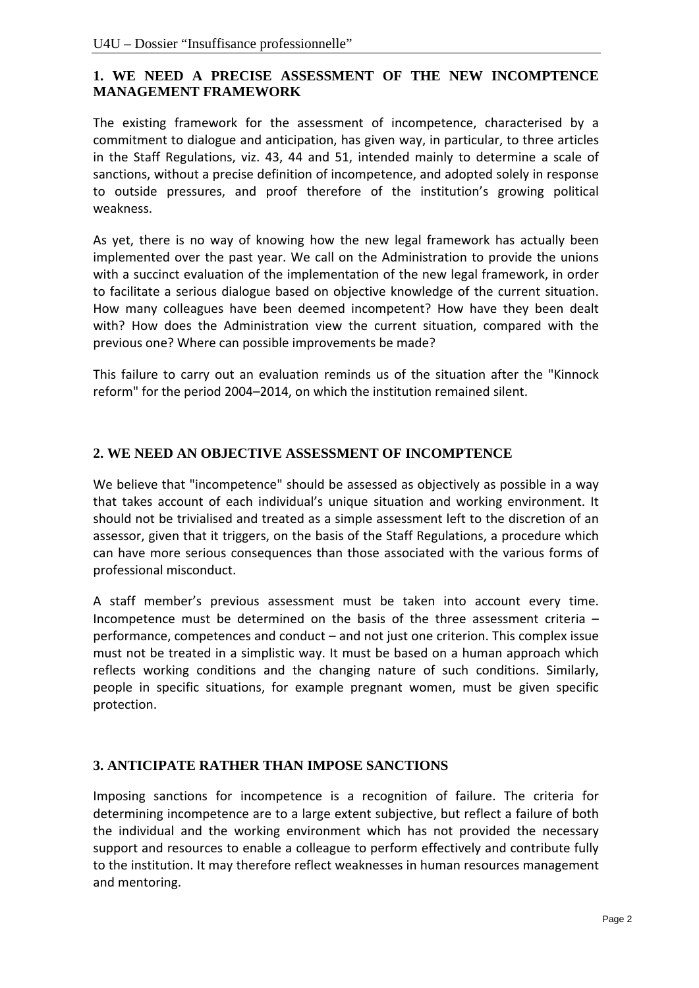## **1. WE NEED A PRECISE ASSESSMENT OF THE NEW INCOMPTENCE MANAGEMENT FRAMEWORK**

The existing framework for the assessment of incompetence, characterised by a commitment to dialogue and anticipation, has given way, in particular, to three articles in the Staff Regulations, viz. 43, 44 and 51, intended mainly to determine a scale of sanctions, without a precise definition of incompetence, and adopted solely in response to outside pressures, and proof therefore of the institution's growing political weakness.

As yet, there is no way of knowing how the new legal framework has actually been implemented over the past year. We call on the Administration to provide the unions with a succinct evaluation of the implementation of the new legal framework, in order to facilitate a serious dialogue based on objective knowledge of the current situation. How many colleagues have been deemed incompetent? How have they been dealt with? How does the Administration view the current situation, compared with the previous one? Where can possible improvements be made?

This failure to carry out an evaluation reminds us of the situation after the "Kinnock reform" for the period 2004–2014, on which the institution remained silent.

### **2. WE NEED AN OBJECTIVE ASSESSMENT OF INCOMPTENCE**

We believe that "incompetence" should be assessed as objectively as possible in a way that takes account of each individual's unique situation and working environment. It should not be trivialised and treated as a simple assessment left to the discretion of an assessor, given that it triggers, on the basis of the Staff Regulations, a procedure which can have more serious consequences than those associated with the various forms of professional misconduct.

A staff member's previous assessment must be taken into account every time. Incompetence must be determined on the basis of the three assessment criteria – performance, competences and conduct – and not just one criterion. This complex issue must not be treated in a simplistic way. It must be based on a human approach which reflects working conditions and the changing nature of such conditions. Similarly, people in specific situations, for example pregnant women, must be given specific protection.

### **3. ANTICIPATE RATHER THAN IMPOSE SANCTIONS**

Imposing sanctions for incompetence is a recognition of failure. The criteria for determining incompetence are to a large extent subjective, but reflect a failure of both the individual and the working environment which has not provided the necessary support and resources to enable a colleague to perform effectively and contribute fully to the institution. It may therefore reflect weaknesses in human resources management and mentoring.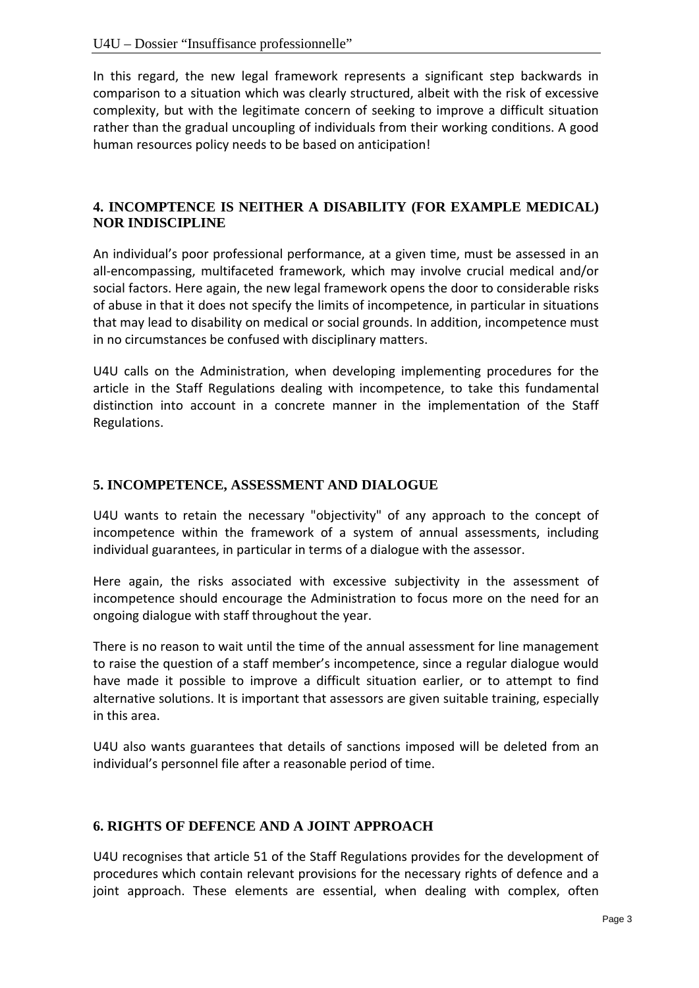In this regard, the new legal framework represents a significant step backwards in comparison to a situation which was clearly structured, albeit with the risk of excessive complexity, but with the legitimate concern of seeking to improve a difficult situation rather than the gradual uncoupling of individuals from their working conditions. A good human resources policy needs to be based on anticipation!

### **4. INCOMPTENCE IS NEITHER A DISABILITY (FOR EXAMPLE MEDICAL) NOR INDISCIPLINE**

An individual's poor professional performance, at a given time, must be assessed in an all‐encompassing, multifaceted framework, which may involve crucial medical and/or social factors. Here again, the new legal framework opens the door to considerable risks of abuse in that it does not specify the limits of incompetence, in particular in situations that may lead to disability on medical or social grounds. In addition, incompetence must in no circumstances be confused with disciplinary matters.

U4U calls on the Administration, when developing implementing procedures for the article in the Staff Regulations dealing with incompetence, to take this fundamental distinction into account in a concrete manner in the implementation of the Staff Regulations.

#### **5. INCOMPETENCE, ASSESSMENT AND DIALOGUE**

U4U wants to retain the necessary "objectivity" of any approach to the concept of incompetence within the framework of a system of annual assessments, including individual guarantees, in particular in terms of a dialogue with the assessor.

Here again, the risks associated with excessive subjectivity in the assessment of incompetence should encourage the Administration to focus more on the need for an ongoing dialogue with staff throughout the year.

There is no reason to wait until the time of the annual assessment for line management to raise the question of a staff member's incompetence, since a regular dialogue would have made it possible to improve a difficult situation earlier, or to attempt to find alternative solutions. It is important that assessors are given suitable training, especially in this area.

U4U also wants guarantees that details of sanctions imposed will be deleted from an individual's personnel file after a reasonable period of time.

#### **6. RIGHTS OF DEFENCE AND A JOINT APPROACH**

U4U recognises that article 51 of the Staff Regulations provides for the development of procedures which contain relevant provisions for the necessary rights of defence and a joint approach. These elements are essential, when dealing with complex, often